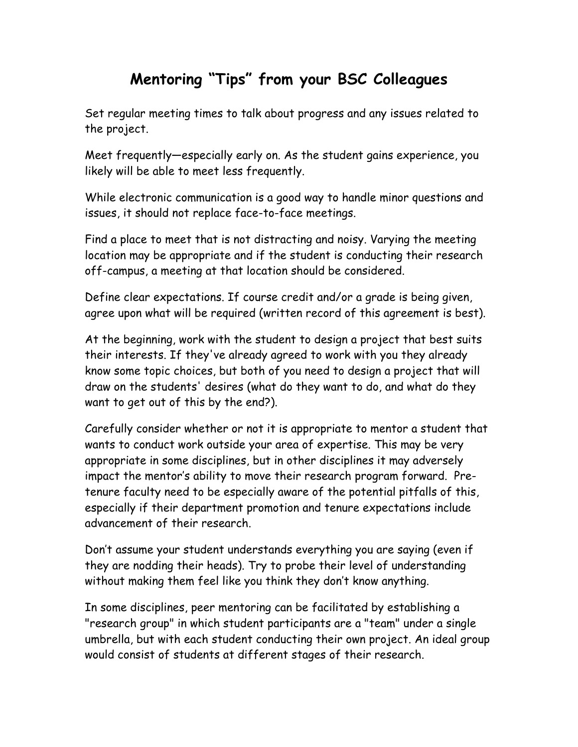## **Mentoring "Tips" from your BSC Colleagues**

Set regular meeting times to talk about progress and any issues related to the project.

Meet frequently—especially early on. As the student gains experience, you likely will be able to meet less frequently.

While electronic communication is a good way to handle minor questions and issues, it should not replace face-to-face meetings.

Find a place to meet that is not distracting and noisy. Varying the meeting location may be appropriate and if the student is conducting their research off-campus, a meeting at that location should be considered.

Define clear expectations. If course credit and/or a grade is being given, agree upon what will be required (written record of this agreement is best).

At the beginning, work with the student to design a project that best suits their interests. If they've already agreed to work with you they already know some topic choices, but both of you need to design a project that will draw on the students' desires (what do they want to do, and what do they want to get out of this by the end?).

Carefully consider whether or not it is appropriate to mentor a student that wants to conduct work outside your area of expertise. This may be very appropriate in some disciplines, but in other disciplines it may adversely impact the mentor's ability to move their research program forward. Pretenure faculty need to be especially aware of the potential pitfalls of this, especially if their department promotion and tenure expectations include advancement of their research.

Don't assume your student understands everything you are saying (even if they are nodding their heads). Try to probe their level of understanding without making them feel like you think they don't know anything.

In some disciplines, peer mentoring can be facilitated by establishing a "research group" in which student participants are a "team" under a single umbrella, but with each student conducting their own project. An ideal group would consist of students at different stages of their research.